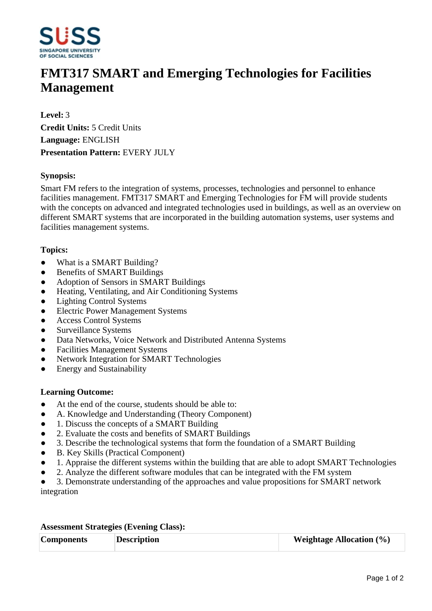

# **FMT317 SMART and Emerging Technologies for Facilities Management**

**Level:** 3 **Credit Units:** 5 Credit Units **Language:** ENGLISH **Presentation Pattern:** EVERY JULY

## **Synopsis:**

Smart FM refers to the integration of systems, processes, technologies and personnel to enhance facilities management. FMT317 SMART and Emerging Technologies for FM will provide students with the concepts on advanced and integrated technologies used in buildings, as well as an overview on different SMART systems that are incorporated in the building automation systems, user systems and facilities management systems.

### **Topics:**

- What is a SMART Building?
- Benefits of SMART Buildings
- Adoption of Sensors in SMART Buildings
- Heating, Ventilating, and Air Conditioning Systems
- Lighting Control Systems
- ƔElectric Power Management Systems
- Access Control Systems
- Surveillance Systems
- Data Networks, Voice Network and Distributed Antenna Systems
- ƔFacilities Management Systems
- Network Integration for SMART Technologies
- Energy and Sustainability

### **Learning Outcome:**

- At the end of the course, students should be able to:
- A. Knowledge and Understanding (Theory Component)
- 1. Discuss the concepts of a SMART Building
- 2. Evaluate the costs and benefits of SMART Buildings
- Ɣ3. Describe the technological systems that form the foundation of a SMART Building
- B. Key Skills (Practical Component)
- Ɣ1. Appraise the different systems within the building that are able to adopt SMART Technologies
- 2. Analyze the different software modules that can be integrated with the FM system
- Ɣ3. Demonstrate understanding of the approaches and value propositions for SMART network integration

### **Assessment Strategies (Evening Class):**

| <b>Description</b><br><b>Components</b> | <b>Weightage Allocation (%)</b> |
|-----------------------------------------|---------------------------------|
|-----------------------------------------|---------------------------------|